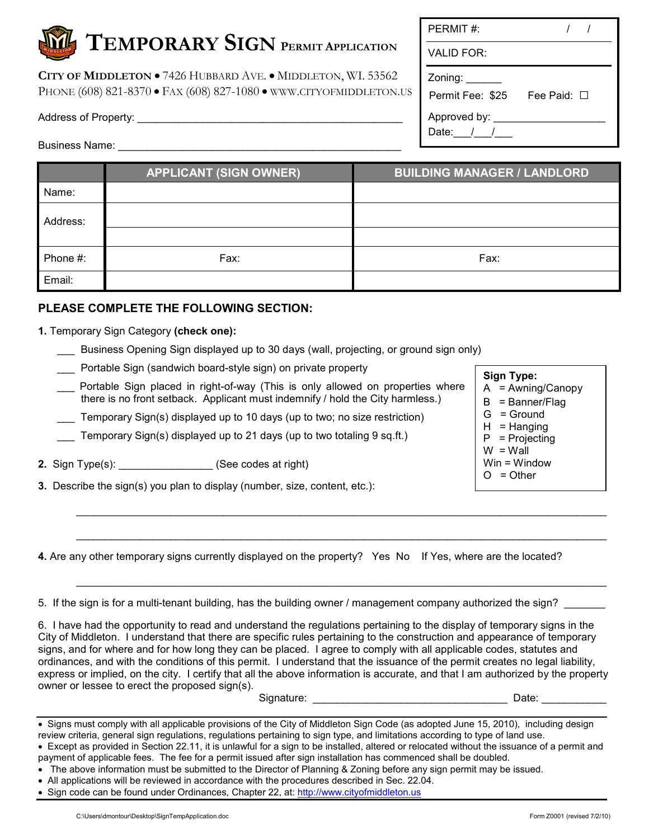**CITY OF MIDDLETON** • 7426 HUBBARD AVE. • MIDDLETON, WI. 53562 PHONE (608) 821-8370 • FAX (608) 827-1080 • WWW.CITYOFMIDDLETON.US

Address of Property: **Example 20** 

Zoning: \_\_\_\_\_\_ Permit Fee: \$25 Fee Paid: □ Approved by: \_\_\_\_\_\_\_\_\_\_\_\_\_\_\_\_\_\_\_ Date:  $1/2$ 

| <b>Business Name:</b> |  |
|-----------------------|--|
|-----------------------|--|

|          | <b>APPLICANT (SIGN OWNER)</b> | <b>BUILDING MANAGER / LANDLORD</b> |
|----------|-------------------------------|------------------------------------|
| Name:    |                               |                                    |
| Address: |                               |                                    |
|          |                               |                                    |
| Phone #: | Fax:                          | Fax:                               |
| Email:   |                               |                                    |

## **PLEASE COMPLETE THE FOLLOWING SECTION:**

- **1.** Temporary Sign Category **(check one):**
	- \_\_\_ Business Opening Sign displayed up to 30 days (wall, projecting, or ground sign only)
	- Portable Sign (sandwich board-style sign) on private property
	- Portable Sign placed in right-of-way (This is only allowed on properties where there is no front setback. Applicant must indemnify / hold the City harmless.)
	- Temporary Sign(s) displayed up to 10 days (up to two; no size restriction)
	- Temporary Sign(s) displayed up to 21 days (up to two totaling 9 sq.ft.)
- **2.** Sign Type(s): \_\_\_\_\_\_\_\_\_\_\_\_\_\_\_\_ (See codes at right)
- **3.** Describe the sign(s) you plan to display (number, size, content, etc.):

A = Awning/Canopy  $B =$  Banner/Flag G = Ground  $H = H$ anging P = Projecting

**Sign Type:**

- $W = W$ all
- Win = Window
- $O = O$ ther

**4.** Are any other temporary signs currently displayed on the property? Yes No If Yes, where are the located?

5. If the sign is for a multi-tenant building, has the building owner / management company authorized the sign?

6. I have had the opportunity to read and understand the regulations pertaining to the display of temporary signs in the City of Middleton. I understand that there are specific rules pertaining to the construction and appearance of temporary signs, and for where and for how long they can be placed. I agree to comply with all applicable codes, statutes and ordinances, and with the conditions of this permit. I understand that the issuance of the permit creates no legal liability, express or implied, on the city. I certify that all the above information is accurate, and that I am authorized by the property owner or lessee to erect the proposed sign(s).

\_\_\_\_\_\_\_\_\_\_\_\_\_\_\_\_\_\_\_\_\_\_\_\_\_\_\_\_\_\_\_\_\_\_\_\_\_\_\_\_\_\_\_\_\_\_\_\_\_\_\_\_\_\_\_\_\_\_\_\_\_\_\_\_\_\_\_\_\_\_\_\_\_\_\_\_\_\_\_\_\_\_\_\_\_\_\_\_\_\_

 $\_$  , and the set of the set of the set of the set of the set of the set of the set of the set of the set of the set of the set of the set of the set of the set of the set of the set of the set of the set of the set of th

 $\_$  , and the set of the set of the set of the set of the set of the set of the set of the set of the set of the set of the set of the set of the set of the set of the set of the set of the set of the set of the set of th

| Signature:<br>Date:<br>__ |  |
|---------------------------|--|

| • Signs must comply with all applicable provisions of the City of Middleton Sign Code (as adopted June 15, 2010), including design      |
|-----------------------------------------------------------------------------------------------------------------------------------------|
| review criteria, general sign regulations, regulations pertaining to sign type, and limitations according to type of land use.          |
| Execution provided in Section 22.11, it is uployed for a sign to be installed. altered ar relected without the issuance of a permit and |

- Except as provided in Section 22.11, it is unlawful for a sign to be installed, altered or relocated without the issuance of a permit and payment of applicable fees. The fee for a permit issued after sign installation has commenced shall be doubled.
- The above information must be submitted to the Director of Planning & Zoning before any sign permit may be issued.
- All applications will be reviewed in accordance with the procedures described in Sec. 22.04.
- Sign code can be found under Ordinances, Chapter 22, at: http://www.cityofmiddleton.us

VALID FOR:

| onnig.           |       |
|------------------|-------|
| ermit Fee: \$25' | Fee F |